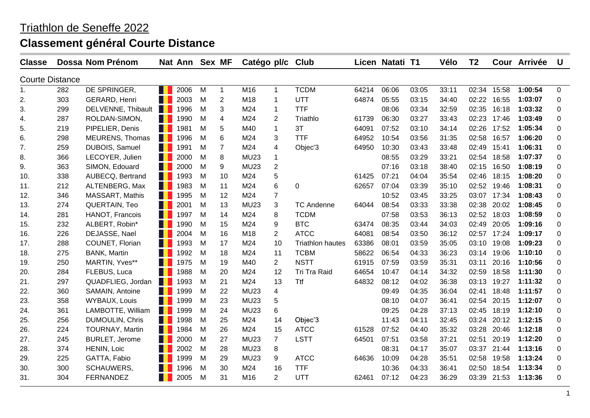| <b>Classe</b>          |     | Dossa Nom Prénom       |            | Nat Ann Sex MF |   |                | Catégo pl/c |                | <b>Club</b>             |       | Licen Natati T1 |       | Vélo  | T <sub>2</sub> |       | Cour Arrivée | U        |
|------------------------|-----|------------------------|------------|----------------|---|----------------|-------------|----------------|-------------------------|-------|-----------------|-------|-------|----------------|-------|--------------|----------|
| <b>Courte Distance</b> |     |                        |            |                |   |                |             |                |                         |       |                 |       |       |                |       |              |          |
| 1.                     | 282 | DE SPRINGER,           | H          | 2006           | M | $\mathbf{1}$   | M16         | 1              | <b>TCDM</b>             | 64214 | 06:06           | 03:05 | 33:11 | 02:34          | 15:58 | 1:00:54      | 0        |
| 2.                     | 303 | GERARD, Henri          | . .        | 2003           | M | $\overline{c}$ | M18         | 1              | UTT                     | 64874 | 05:55           | 03:15 | 34:40 | 02:22          | 16:55 | 1:03:07      | 0        |
| 3.                     | 299 | DELVENNE, Thibault     | H          | 1996           | M | 3              | M24         | -1             | <b>TTF</b>              |       | 08:06           | 03:34 | 32:59 | 02:35          | 16:18 | 1:03:32      | 0        |
| 4.                     | 287 | ROLDAN-SIMON,          |            | 1990           | M | 4              | M24         | $\overline{2}$ | Triathlo                | 61739 | 06:30           | 03:27 | 33:43 | 02:23          | 17:46 | 1:03:49      | 0        |
| 5.                     | 219 | PIPELIER, Denis        |            | 1981           | M | 5              | M40         | 1              | 3T                      | 64091 | 07:52           | 03:10 | 34:14 | 02:26          | 17:52 | 1:05:34      | 0        |
| 6.                     | 298 | <b>MEURENS, Thomas</b> | . .        | 1996           | М | 6              | M24         | 3              | <b>TTF</b>              | 64952 | 10:54           | 03:56 | 31:35 | 02:58          | 16:57 | 1:06:20      | 0        |
| 7.                     | 259 | DUBOIS, Samuel         | . .        | 1991           | M | $\overline{7}$ | M24         | 4              | Objec'3                 | 64950 | 10:30           | 03:43 | 33:48 | 02:49          | 15:41 | 1:06:31      | 0        |
| 8.                     | 366 | LECOYER, Julien        | . .        | 2000           | M | 8              | <b>MU23</b> | 1              |                         |       | 08:55           | 03:29 | 33:21 | 02:54          | 18:58 | 1:07:37      | 0        |
| 9.                     | 363 | SIMON, Edouard         | . .        | 2000           | M | 9              | <b>MU23</b> | $\overline{2}$ |                         |       | 07:16           | 03:18 | 38:40 | 02:15          | 16:50 | 1:08:19      | 0        |
| 10.                    | 338 | AUBECQ, Bertrand       |            | 1993           | M | 10             | M24         | 5              |                         | 61425 | 07:21           | 04:04 | 35:54 | 02:46          | 18:15 | 1:08:20      | 0        |
| 11.                    | 212 | ALTENBERG, Max         | . .        | 1983           | M | 11             | M24         | 6              | 0                       | 62657 | 07:04           | 03:39 | 35:10 | 02:52          | 19:46 | 1:08:31      | 0        |
| 12.                    | 346 | <b>MASSART, Mathis</b> |            | 1995           | M | 12             | M24         | $\overline{7}$ |                         |       | 10:52           | 03:45 | 33:25 | 03:07          | 17:34 | 1:08:43      | 0        |
| 13.                    | 274 | <b>QUERTAIN, Teo</b>   | . .        | 2001           | M | 13             | <b>MU23</b> | 3              | <b>TC Andenne</b>       | 64044 | 08:54           | 03:33 | 33:38 | 02:38          | 20:02 | 1:08:45      | 0        |
| 14.                    | 281 | HANOT, Francois        |            | 1997           | M | 14             | M24         | 8              | <b>TCDM</b>             |       | 07:58           | 03:53 | 36:13 | 02:52          | 18:03 | 1:08:59      | 0        |
| 15.                    | 232 | ALBERT, Robin*         |            | 1990           | м | 15             | M24         | 9              | <b>BTC</b>              | 63474 | 08:35           | 03:44 | 34:03 | 02:49          | 20:05 | 1:09:16      | 0        |
| 16.                    | 226 | DEJASSE, Nael          |            | 2004           | M | 16             | M18         | $\overline{2}$ | <b>ATCC</b>             | 64081 | 08:54           | 03:50 | 36:12 | 02:57          | 17:24 | 1:09:17      | 0        |
| 17.                    | 288 | COUNET, Florian        | ш          | 1993           | M | 17             | M24         | 10             | <b>Triathlon hautes</b> | 63386 | 08:01           | 03:59 | 35:05 | 03:10          | 19:08 | 1:09:23      | 0        |
| 18.                    | 275 | <b>BANK, Martin</b>    |            | 1992           | M | 18             | M24         | 11             | <b>TCBM</b>             | 58622 | 06:54           | 04:33 | 36:23 | 03:14          | 19:06 | 1:10:10      | $\Omega$ |
| 19.                    | 250 | MARTIN, Yves**         |            | 1975           | M | 19             | M40         | $\overline{2}$ | <b>NSTT</b>             | 61915 | 07:59           | 03:59 | 35:31 | 03:11          | 20:16 | 1:10:56      | 0        |
| 20.                    | 284 | FLEBUS, Luca           | a provinci | 1988           | М | 20             | M24         | 12             | Tri Tra Raid            | 64654 | 10:47           | 04:14 | 34:32 | 02:59          | 18:58 | 1:11:30      | 0        |
| 21.                    | 297 | QUADFLIEG, Jordan      | . .        | 1993           | M | 21             | M24         | 13             | <b>Ttf</b>              | 64832 | 08:12           | 04:02 | 36:38 | 03:13          | 19:27 | 1:11:32      | 0        |
| 22.                    | 360 | SAMAIN, Antoine        |            | 1999           | М | 22             | <b>MU23</b> | 4              |                         |       | 09:49           | 04:35 | 36:04 | 02:41          | 18:48 | 1:11:57      | 0        |
| 23.                    | 358 | <b>WYBAUX, Louis</b>   | . .        | 1999           | M | 23             | <b>MU23</b> | 5              |                         |       | 08:10           | 04:07 | 36:41 | 02:54          | 20:15 | 1:12:07      | 0        |
| 24.                    | 361 | LAMBOTTE, William      | . .        | 1999           | M | 24             | <b>MU23</b> | 6              |                         |       | 09:25           | 04:28 | 37:13 | 02:45          | 18:19 | 1:12:10      | 0        |
| 25.                    | 256 | <b>DUMOULIN, Chris</b> | . .        | 1998           | M | 25             | M24         | 14             | Objec'3                 |       | 11:43           | 04:11 | 32:45 | 03:24          | 20:12 | 1:12:15      | 0        |
| 26.                    | 224 | <b>TOURNAY, Martin</b> |            | 1984           | M | 26             | M24         | 15             | <b>ATCC</b>             | 61528 | 07:52           | 04:40 | 35:32 | 03:28          | 20:46 | 1:12:18      | 0        |
| 27.                    | 245 | <b>BURLET, Jerome</b>  |            | 2000           | M | 27             | <b>MU23</b> | $\overline{7}$ | <b>LSTT</b>             | 64501 | 07:51           | 03:58 | 37:21 | 02:51          | 20:19 | 1:12:20      | 0        |
| 28.                    | 374 | HENIN, Loic            | Ш          | 2002           | M | 28             | <b>MU23</b> | 8              |                         |       | 08:31           | 04:17 | 35:07 | 03:37          | 21:44 | 1:13:16      | 0        |
| 29.                    | 225 | GATTA, Fabio           | ш          | 1999           | M | 29             | <b>MU23</b> | 9              | <b>ATCC</b>             | 64636 | 10:09           | 04:28 | 35:51 | 02:58          | 19:58 | 1:13:24      | 0        |
| 30.                    | 300 | <b>SCHAUWERS,</b>      |            | 1996           | M | 30             | M24         | 16             | <b>TTF</b>              |       | 10:36           | 04:33 | 36:41 | 02:50          | 18:54 | 1:13:34      | 0        |
| 31.                    | 304 | <b>FERNANDEZ</b>       |            | 2005           | M | 31             | M16         | $\overline{2}$ | UTT                     | 62461 | 07:12           | 04:23 | 36:29 | 03:39          | 21:53 | 1:13:36      | 0        |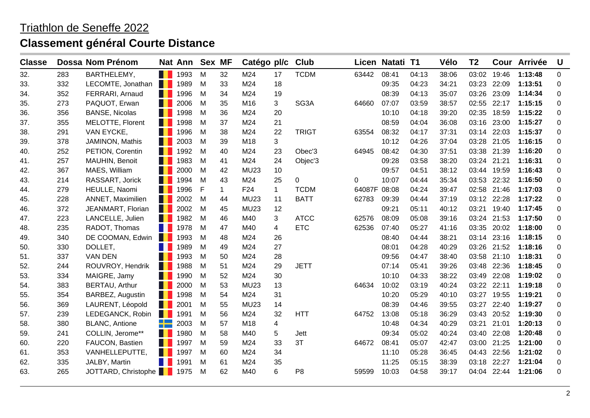| <b>Classe</b> |     | Dossa Nom Prénom      |     | Nat Ann Sex MF |   |    | Catégo pl/c     |             | <b>Club</b>    |              | Licen Natati T1 |       | Vélo  | T <sub>2</sub> |       | Cour Arrivée | U |
|---------------|-----|-----------------------|-----|----------------|---|----|-----------------|-------------|----------------|--------------|-----------------|-------|-------|----------------|-------|--------------|---|
| 32.           | 283 | BARTHELEMY,           | H.  | 1993           | M | 32 | M24             | 17          | <b>TCDM</b>    | 63442        | 08:41           | 04:13 | 38:06 | 03:02          | 19:46 | 1:13:48      | 0 |
| 33.           | 332 | LECOMTE, Jonathan     |     | 1989           | M | 33 | M24             | 18          |                |              | 09:35           | 04:23 | 34:21 | 03:23          | 22:09 | 1:13:51      | 0 |
| 34.           | 352 | FERRARI, Arnaud       | H   | 1996           | M | 34 | M24             | 19          |                |              | 08:39           | 04:13 | 35:07 | 03:26          | 23:09 | 1:14:34      | 0 |
| 35.           | 273 | PAQUOT, Erwan         | H   | 2006           | M | 35 | M16             | 3           | SG3A           | 64660        | 07:07           | 03:59 | 38:57 | 02:55          | 22:17 | 1:15:15      | 0 |
| 36.           | 356 | <b>BANSE, Nicolas</b> |     | 1998           | M | 36 | M24             | 20          |                |              | 10:10           | 04:18 | 39:20 | 02:35          | 18:59 | 1:15:22      | 0 |
| 37.           | 355 | MELOTTE, Florent      |     | 1998           | М | 37 | M24             | 21          |                |              | 08:59           | 04:04 | 36:08 | 03:16          | 23:00 | 1:15:27      | 0 |
| 38.           | 291 | VAN EYCKE,            | п   | 1996           | M | 38 | M24             | 22          | <b>TRIGT</b>   | 63554        | 08:32           | 04:17 | 37:31 | 03:14          | 22:03 | 1:15:37      | 0 |
| 39.           | 378 | JAMINON, Mathis       | . . | 2003           | M | 39 | M18             | 3           |                |              | 10:12           | 04:26 | 37:04 | 03:28          | 21:05 | 1:16:15      | 0 |
| 40.           | 252 | PETION, Corentin      | ш   | 1992           | M | 40 | M24             | 23          | Obec'3         | 64945        | 08:42           | 04:30 | 37:51 | 03:38          | 21:39 | 1:16:20      | 0 |
| 41.           | 257 | MAUHIN, Benoit        |     | 1983           | M | 41 | M24             | 24          | Objec'3        |              | 09:28           | 03:58 | 38:20 | 03:24          | 21:21 | 1:16:31      | 0 |
| 42.           | 367 | MAES, William         |     | 2000           | M | 42 | <b>MU23</b>     | 10          |                |              | 09:57           | 04:51 | 38:12 | 03:44          | 19:59 | 1:16:43      | 0 |
| 43.           | 214 | RASSART, Jorick       |     | 1994           | M | 43 | M24             | 25          | 0              | 0            | 10:07           | 04:44 | 35:34 | 03:53          | 22:32 | 1:16:50      | 0 |
| 44.           | 279 | HEULLE, Naomi         | m   | 1996           | F | 1  | F <sub>24</sub> | $\mathbf 1$ | <b>TCDM</b>    | 64087F 08:08 |                 | 04:24 | 39:47 | 02:58          | 21:46 | 1:17:03      | 0 |
| 45.           | 228 | ANNET, Maximilien     | . . | 2002           | M | 44 | <b>MU23</b>     | 11          | <b>BATT</b>    | 62783        | 09:39           | 04:44 | 37:19 | 03:12          | 22:28 | 1:17:22      | 0 |
| 46.           | 372 | JEANMART, Florian     | ш   | 2002           | М | 45 | <b>MU23</b>     | 12          |                |              | 09:21           | 05:11 | 40:12 | 03:21          | 19:40 | 1:17:45      | 0 |
| 47.           | 223 | LANCELLE, Julien      |     | 1982           | М | 46 | M40             | 3           | <b>ATCC</b>    | 62576        | 08:09           | 05:08 | 39:16 | 03:24          | 21:53 | 1:17:50      | 0 |
| 48.           | 235 | RADOT, Thomas         |     | 1978           | M | 47 | M40             | 4           | <b>ETC</b>     | 62536        | 07:40           | 05:27 | 41:16 | 03:35          | 20:02 | 1:18:00      | 0 |
| 49.           | 340 | DE COOMAN, Edwin      | H   | 1993           | м | 48 | M24             | 26          |                |              | 08:40           | 04:44 | 38:21 | 03:14          | 23:16 | 1:18:15      | 0 |
| 50.           | 330 | DOLLET,               |     | 1989           | M | 49 | M24             | 27          |                |              | 08:01           | 04:28 | 40:29 | 03:26          | 21:52 | 1:18:16      | 0 |
| 51.           | 337 | <b>VAN DEN</b>        |     | 1993           | М | 50 | M24             | 28          |                |              | 09:56           | 04:47 | 38:40 | 03:58          | 21:10 | 1:18:31      | 0 |
| 52.           | 244 | ROUVROY, Hendrik      | п   | 1988           | M | 51 | M24             | 29          | <b>JETT</b>    |              | 07:14           | 05:41 | 39:26 | 03:48          | 22:36 | 1:18:45      | 0 |
| 53.           | 334 | MAIGRE, Jamy          | H   | 1990           | М | 52 | M24             | 30          |                |              | 10:10           | 04:33 | 38:22 | 03:49          | 22:08 | 1:19:02      | 0 |
| 54.           | 383 | <b>BERTAU, Arthur</b> | H   | 2000           | М | 53 | <b>MU23</b>     | 13          |                | 64634        | 10:02           | 03:19 | 40:24 | 03:22          | 22:11 | 1:19:18      | 0 |
| 55.           | 354 | BARBEZ, Augustin      | . . | 1998           | M | 54 | M24             | 31          |                |              | 10:20           | 05:29 | 40:10 | 03:27          | 19:55 | 1:19:21      | 0 |
| 56.           | 369 | LAURENT, Léopold      |     | 2001           | M | 55 | <b>MU23</b>     | 14          |                |              | 08:39           | 04:46 | 39:55 | 03:27          | 22:40 | 1:19:27      | 0 |
| 57.           | 239 | LEDEGANCK, Robin      | ш   | 1991           | M | 56 | M24             | 32          | <b>HTT</b>     | 64752        | 13:08           | 05:18 | 36:29 | 03:43          | 20:52 | 1:19:30      | 0 |
| 58.           | 380 | <b>BLANC, Antione</b> |     | 2003           | M | 57 | M18             | 4           |                |              | 10:48           | 04:34 | 40:29 | 03:21          | 21:01 | 1:20:13      | 0 |
| 59.           | 241 | COLLIN, Jerome**      | ш   | 1980           | M | 58 | M40             | 5           | Jett           |              | 09:34           | 05:02 | 40:24 | 03:40          | 22:08 | 1:20:48      | 0 |
| 60.           | 220 | FAUCON, Bastien       |     | 1997           | M | 59 | M24             | 33          | 3T             | 64672        | 08:41           | 05:07 | 42:47 | 03:00          | 21:25 | 1:21:00      | 0 |
| 61.           | 353 | VANHELLEPUTTE,        | Ш   | 1997           | M | 60 | M24             | 34          |                |              | 11:10           | 05:28 | 36:45 | 04:43          | 22:56 | 1:21:02      | 0 |
| 62.           | 335 | JALBY, Martin         |     | 1991           | M | 61 | M24             | 35          |                |              | 11:25           | 05:15 | 38:39 | 03:18          | 22:27 | 1:21:04      | 0 |
| 63.           | 265 | JOTTARD, Christophe   |     | 1975           | М | 62 | M40             | 6           | P <sub>8</sub> | 59599        | 10:03           | 04:58 | 39:17 | 04:04          | 22:44 | 1:21:06      | 0 |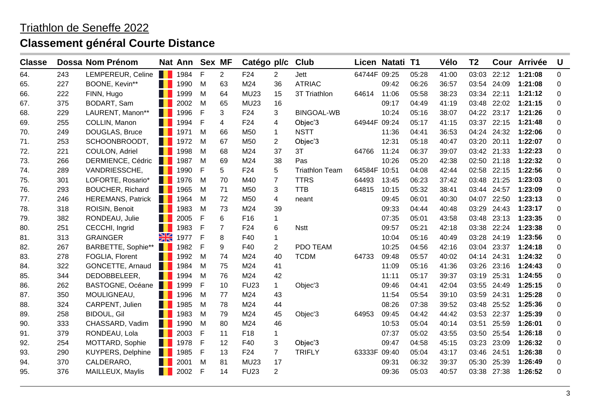| <b>Classe</b> |     | Dossa Nom Prénom         |               | Nat Ann | Sex MF |                | Catégo pl/c     |                | Club                  |              | Licen Natati T1 |       | Vélo  | T <sub>2</sub> |       | Cour Arrivée | U                |
|---------------|-----|--------------------------|---------------|---------|--------|----------------|-----------------|----------------|-----------------------|--------------|-----------------|-------|-------|----------------|-------|--------------|------------------|
| 64.           | 243 | LEMPEREUR, Celine        | . .           | 1984    | F      | $\overline{2}$ | F24             | 2              | Jett                  | 64744F 09:25 |                 | 05:28 | 41:00 | 03:03          | 22:12 | 1:21:08      | $\mathbf 0$      |
| 65.           | 227 | BOONE, Kevin**           |               | 1990    | M      | 63             | M24             | 36             | <b>ATRIAC</b>         |              | 09:42           | 06:26 | 36:57 | 03:54          | 24:09 | 1:21:08      | 0                |
| 66.           | 222 | FINN, Hugo               | H.            | 1999    | M      | 64             | <b>MU23</b>     | 15             | 3T Triathlon          | 64614        | 11:06           | 05:58 | 38:23 | 03:34          | 22:11 | 1:21:12      | 0                |
| 67.           | 375 | BODART, Sam              |               | 2002    | M      | 65             | <b>MU23</b>     | 16             |                       |              | 09:17           | 04:49 | 41:19 | 03:48          | 22:02 | 1:21:15      | 0                |
| 68.           | 229 | LAURENT, Manon**         | H.            | 1996    | F      | 3              | F <sub>24</sub> | 3              | <b>BINGOAL-WB</b>     |              | 10:24           | 05:16 | 38:07 | 04:22          | 23:17 | 1:21:26      | $\boldsymbol{0}$ |
| 69.           | 255 | COLLIN, Manon            |               | 1994    | F      | 4              | F <sub>24</sub> | 4              | Objec'3               | 64944F 09:24 |                 | 05:17 | 41:15 | 03:37          | 22:15 | 1:21:48      | $\mathbf 0$      |
| 70.           | 249 | DOUGLAS, Bruce           |               | 1971    | M      | 66             | M50             | $\mathbf{1}$   | <b>NSTT</b>           |              | 11:36           | 04:41 | 36:53 | 04:24          | 24:32 | 1:22:06      | 0                |
| 71.           | 253 | SCHOONBROODT,            | a kata        | 1972    | М      | 67             | M50             | $\overline{2}$ | Objec'3               |              | 12:31           | 05:18 | 40:47 | 03:20          | 20:11 | 1:22:07      | 0                |
| 72.           | 221 | COULON, Adriel           |               | 1998    | м      | 68             | M24             | 37             | 3T                    | 64766        | 11:24           | 06:37 | 39:07 | 03:42          | 21:33 | 1:22:23      | 0                |
| 73.           | 266 | DERMIENCE, Cédric        | a ka          | 1987    | M      | 69             | M24             | 38             | Pas                   |              | 10:26           | 05:20 | 42:38 | 02:50          | 21:18 | 1:22:32      | 0                |
| 74.           | 289 | VANDRIESSCHE,            |               | 1990    | F      | 5              | F <sub>24</sub> | 5              | <b>Triathlon Team</b> | 64584F 10:51 |                 | 04:08 | 42:44 | 02:58          | 22:15 | 1:22:56      | 0                |
| 75.           | 301 | LOFORTE, Rosario*        |               | 1976    | м      | 70             | M40             | $\overline{7}$ | <b>TTRS</b>           | 64493        | 13:45           | 06:23 | 37:42 | 03:48          | 21:25 | 1:23:03      | 0                |
| 76.           | 293 | <b>BOUCHER, Richard</b>  | a kata        | 1965    | м      | 71             | M50             | 3              | <b>TTB</b>            | 64815        | 10:15           | 05:32 | 38:41 | 03:44          | 24:57 | 1:23:09      | 0                |
| 77.           | 246 | <b>HEREMANS, Patrick</b> | . .           | 1964    | м      | 72             | M50             | 4              | neant                 |              | 09:45           | 06:01 | 40:30 | 04:07          | 22:50 | 1:23:13      | 0                |
| 78.           | 318 | ROISIN, Benoit           |               | 1983    | м      | 73             | M24             | 39             |                       |              | 09:33           | 04:44 | 40:48 | 03:29          | 24:43 | 1:23:17      | 0                |
| 79.           | 382 | RONDEAU, Julie           |               | 2005    | F      | 6              | F <sub>16</sub> | $\mathbf{1}$   |                       |              | 07:35           | 05:01 | 43:58 | 03:48          | 23:13 | 1:23:35      | 0                |
| 80.           | 251 | CECCHI, Ingrid           |               | 1983    | F      | 7              | F <sub>24</sub> | 6              | <b>Nstt</b>           |              | 09:57           | 05:21 | 42:18 | 03:38          | 22:24 | 1:23:38      | 0                |
| 81.           | 313 | <b>GRAINGER</b>          | $\frac{N}{N}$ | 1977    | F      | 8              | F40             | 1              |                       |              | 10:04           | 05:16 | 40:49 | 03:28          | 24:19 | 1:23:56      | 0                |
| 82.           | 267 | BARBETTE, Sophie**       | . .           | 1982    | F      | 9              | F40             | $\overline{2}$ | PDO TEAM              |              | 10:25           | 04:56 | 42:16 | 03:04          | 23:37 | 1:24:18      | 0                |
| 83.           | 278 | FOGLIA, Florent          |               | 1992    | M      | 74             | M24             | 40             | <b>TCDM</b>           | 64733        | 09:48           | 05:57 | 40:02 | 04:14          | 24:31 | 1:24:32      | 0                |
| 84.           | 322 | GONCETTE, Arnaud         |               | 1984    | М      | 75             | M24             | 41             |                       |              | 11:09           | 05:16 | 41:36 | 03:26          | 23:16 | 1:24:43      | 0                |
| 85.           | 344 | DEDOBBELEER,             |               | 1994    | м      | 76             | M24             | 42             |                       |              | 11:11           | 05:17 | 39:37 | 03:19          | 25:31 | 1:24:55      | $\mathbf 0$      |
| 86.           | 262 | BASTOGNE, Océane         | <b>T</b>      | 1999    | F      | 10             | <b>FU23</b>     | $\mathbf{1}$   | Objec'3               |              | 09:46           | 04:41 | 42:04 | 03:55          | 24:49 | 1:25:15      | 0                |
| 87.           | 350 | MOULIGNEAU,              |               | 1996    | M      | 77             | M24             | 43             |                       |              | 11:54           | 05:54 | 39:10 | 03:59          | 24:31 | 1:25:28      | $\mathbf 0$      |
| 88.           | 324 | CARPENT, Julien          |               | 1985    | M      | 78             | M24             | 44             |                       |              | 08:26           | 07:38 | 39:52 | 03:48          | 25:52 | 1:25:36      | 0                |
| 89.           | 258 | <b>BIDOUL, Gil</b>       |               | 1983    | M      | 79             | M24             | 45             | Objec'3               | 64953        | 09:45           | 04:42 | 44:42 | 03:53          | 22:37 | 1:25:39      | $\mathbf 0$      |
| 90.           | 333 | CHASSARD, Vadim          | . .           | 1990    | M      | 80             | M24             | 46             |                       |              | 10:53           | 05:04 | 40:14 | 03:51          | 25:59 | 1:26:01      | $\mathbf 0$      |
| 91.           | 379 | RONDEAU, Lola            |               | 2003    | F      | 11             | F18             | 1              |                       |              | 07:37           | 05:02 | 43:55 | 03:50          | 25:54 | 1:26:18      | 0                |
| 92.           | 254 | MOTTARD, Sophie          | . .           | 1978    | F      | 12             | F40             | 3              | Objec'3               |              | 09:47           | 04:58 | 45:15 | 03:23          | 23:09 | 1:26:32      | $\mathbf 0$      |
| 93.           | 290 | <b>KUYPERS, Delphine</b> |               | 1985    | F      | 13             | F <sub>24</sub> | 7              | <b>TRIFLY</b>         | 63333F 09:40 |                 | 05:04 | 43:17 | 03:46          | 24:51 | 1:26:38      | 0                |
| 94.           | 370 | CALDERARO,               |               | 2001    | M      | 81             | <b>MU23</b>     | 17             |                       |              | 09:31           | 06:32 | 39:37 | 05:30          | 25:39 | 1:26:49      | 0                |
| 95.           | 376 | MAILLEUX, Maylis         | . .           | 2002    | F      | 14             | <b>FU23</b>     | $\overline{2}$ |                       |              | 09:36           | 05:03 | 40:57 | 03:38          | 27:38 | 1:26:52      | $\Omega$         |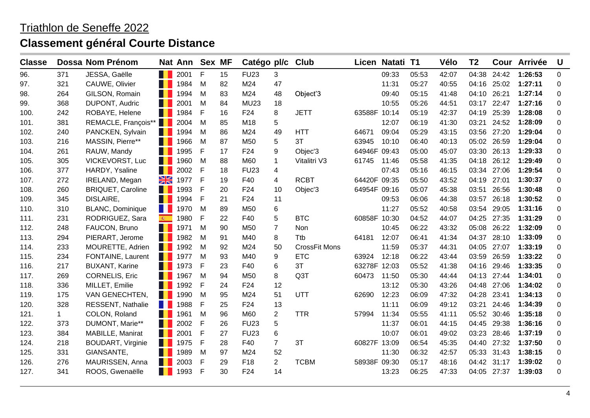| <b>Classe</b> |             | Dossa Nom Prénom         |                               | Nat Ann | Sex MF |    | Catégo pl/c Club |                |                      |              | Licen Natati T1 |       | Vélo  | T <sub>2</sub> |       | Cour Arrivée | U           |
|---------------|-------------|--------------------------|-------------------------------|---------|--------|----|------------------|----------------|----------------------|--------------|-----------------|-------|-------|----------------|-------|--------------|-------------|
| 96.           | 371         | JESSA, Gaëlle            | H.                            | 2001    | F      | 15 | <b>FU23</b>      | 3              |                      |              | 09:33           | 05:53 | 42:07 | 04:38          | 24:42 | 1:26:53      | $\mathbf 0$ |
| 97.           | 321         | CAUWE, Olivier           |                               | 1984    | M      | 82 | M24              | 47             |                      |              | 11:31           | 05:27 | 40:55 | 04:16          | 25:02 | 1:27:11      | 0           |
| 98.           | 264         | GILSON, Romain           | <b>III</b>                    | 1994    | M      | 83 | M24              | 48             | Object'3             |              | 09:40           | 05:15 | 41:48 | 04:10          | 26:21 | 1:27:14      | 0           |
| 99.           | 368         | DUPONT, Audric           | ш                             | 2001    | M      | 84 | <b>MU23</b>      | 18             |                      |              | 10:55           | 05:26 | 44:51 | 03:17          | 22:47 | 1:27:16      | 0           |
| 100.          | 242         | ROBAYE, Helene           | ш                             | 1984    | F      | 16 | F <sub>24</sub>  | 8              | <b>JETT</b>          | 63588F 10:14 |                 | 05:19 | 42:37 | 04:19          | 25:39 | 1:28:08      | $\pmb{0}$   |
| 101.          | 381         | REMACLE, François**      |                               | 2004    | M      | 85 | M18              | 5              |                      |              | 12:07           | 06:19 | 41:30 | 03:21          | 24:52 | 1:28:09      | 0           |
| 102.          | 240         | PANCKEN, Sylvain         |                               | 1994    | M      | 86 | M24              | 49             | <b>HTT</b>           | 64671        | 09:04           | 05:29 | 43:15 | 03:56          | 27:20 | 1:29:04      | $\mathbf 0$ |
| 103.          | 216         | MASSIN, Pierre**         | ш                             | 1966    | М      | 87 | M <sub>50</sub>  | 5              | 3T                   | 63945        | 10:10           | 06:40 | 40:13 | 05:02          | 26:59 | 1:29:04      | 0           |
| 104.          | 261         | RAUW, Mandy              | ш                             | 1995    | F      | 17 | F24              | 9              | Objec'3              | 64946F 09:43 |                 | 05:00 | 45:07 | 03:30          | 26:13 | 1:29:33      | 0           |
| 105.          | 305         | <b>VICKEVORST, Luc</b>   | ш                             | 1960    | M      | 88 | M60              | $\mathbf 1$    | Vitalitri V3         | 61745        | 11:46           | 05:58 | 41:35 | 04:18          | 26:12 | 1:29:49      | 0           |
| 106.          | 377         | HARDY, Ysaline           | H                             | 2002    | F      | 18 | <b>FU23</b>      | 4              |                      |              | 07:43           | 05:16 | 46:15 | 03:34          | 27:06 | 1:29:54      | 0           |
| 107.          | 272         | IRELAND, Megan           | XK                            | 1977    | F      | 19 | F40              | 4              | <b>RCBT</b>          | 64420F 09:35 |                 | 05:50 | 43:52 | 04:19          | 27:01 | 1:30:37      | 0           |
| 108.          | 260         | <b>BRIQUET, Caroline</b> | ш                             | 1993    | F      | 20 | F <sub>24</sub>  | 10             | Objec'3              | 64954F 09:16 |                 | 05:07 | 45:38 | 03:51          | 26:56 | 1:30:48      | 0           |
| 109.          | 345         | DISLAIRE,                | . .                           | 1994    | F      | 21 | F24              | 11             |                      |              | 09:53           | 06:06 | 44:38 | 03:57          | 26:18 | 1:30:52      | 0           |
| 110.          | 310         | <b>BLANC, Dominique</b>  | ш                             | 1970    | M      | 89 | M <sub>50</sub>  | 6              |                      |              | 11:27           | 05:52 | 40:58 | 03:54          | 29:05 | 1:31:16      | 0           |
| 111.          | 231         | RODRIGUEZ, Sara          | $\langle \widehat{w} \rangle$ | 1980    | F      | 22 | F40              | 5              | <b>BTC</b>           | 60858F 10:30 |                 | 04:52 | 44:07 | 04:25          | 27:35 | 1:31:29      | 0           |
| 112.          | 248         | FAUCON, Bruno            | . .                           | 1971    | M      | 90 | M <sub>50</sub>  | $\overline{7}$ | Non                  |              | 10:45           | 06:22 | 43:32 | 05:08          | 26:22 | 1:32:09      | 0           |
| 113.          | 294         | PIERART, Jerome          | H                             | 1982    | M      | 91 | M40              | 8              | Ttb                  | 64181        | 12:07           | 06:41 | 41:34 | 04:37          | 28:10 | 1:33:09      | 0           |
| 114.          | 233         | MOURETTE, Adrien         | . .                           | 1992    | M      | 92 | M24              | 50             | <b>CrossFit Mons</b> |              | 11:59           | 05:37 | 44:31 | 04:05          | 27:07 | 1:33:19      | 0           |
| 115.          | 234         | FONTAINE, Laurent        | ш                             | 1977    | M      | 93 | M40              | 9              | <b>ETC</b>           | 63924        | 12:18           | 06:22 | 43:44 | 03:59          | 26:59 | 1:33:22      | 0           |
| 116.          | 217         | <b>BUXANT, Karine</b>    |                               | 1973    | F      | 23 | F40              | 6              | 3T                   | 63278F 12:03 |                 | 05:52 | 41:38 | 04:16          | 29:46 | 1:33:35      | 0           |
| 117.          | 269         | <b>CORNELIS, Eric</b>    | H                             | 1967    | M      | 94 | M <sub>50</sub>  | 8              | Q3T                  | 60473        | 11:50           | 05:30 | 44:44 | 04:13          | 27:44 | 1:34:01      | 0           |
| 118.          | 336         | MILLET, Emilie           | ш                             | 1992    | F      | 24 | F24              | 12             |                      |              | 13:12           | 05:30 | 43:26 | 04:48          | 27:06 | 1:34:02      | 0           |
| 119.          | 175         | VAN GENECHTEN,           | . .                           | 1990    | M      | 95 | M24              | 51             | UTT                  | 62690        | 12:23           | 06:09 | 47:32 | 04:28          | 23:41 | 1:34:13      | 0           |
| 120.          | 328         | <b>RESSENT, Nathalie</b> |                               | 1988    | F      | 25 | F <sub>24</sub>  | 13             |                      |              | 11:11           | 06:09 | 49:12 | 03:21          | 24:46 | 1:34:39      | 0           |
| 121.          | $\mathbf 1$ | COLON, Roland            | . .                           | 1961    | M      | 96 | M60              | 2              | <b>TTR</b>           | 57994        | 11:34           | 05:55 | 41:11 | 05:52          | 30:46 | 1:35:18      | 0           |
| 122.          | 373         | DUMONT, Marie**          | . .                           | 2002    | F      | 26 | <b>FU23</b>      | 5              |                      |              | 11:37           | 06:01 | 44:15 | 04:45          | 29:38 | 1:36:16      | 0           |
| 123.          | 384         | MABILLE, Manirat         | ш                             | 2001    | F      | 27 | <b>FU23</b>      | $\,6$          |                      |              | 10:07           | 06:01 | 49:02 | 03:23          | 28:46 | 1:37:19      | $\mathbf 0$ |
| 124.          | 218         | <b>BOUDART, Virginie</b> |                               | 1975    | F      | 28 | F40              | $\overline{7}$ | 3T                   | 60827F 13:09 |                 | 06:54 | 45:35 | 04:40          | 27:32 | 1:37:50      | 0           |
| 125.          | 331         | GIANSANTE,               |                               | 1989    | M      | 97 | M24              | 52             |                      |              | 11:30           | 06:32 | 42:57 | 05:33          | 31:43 | 1:38:15      | 0           |
| 126.          | 276         | MAURISSEN, Anna          | H                             | 2003    | F      | 29 | F18              | $\overline{2}$ | <b>TCBM</b>          | 58938F 09:30 |                 | 05:17 | 48:16 | 04:42          | 31:17 | 1:39:02      | 0           |
| 127.          | 341         | ROOS, Gwenaëlle          | . .                           | 1993    | F      | 30 | F24              | 14             |                      |              | 13:23           | 06:25 | 47:33 | 04:05          | 27:37 | 1:39:03      | 0           |